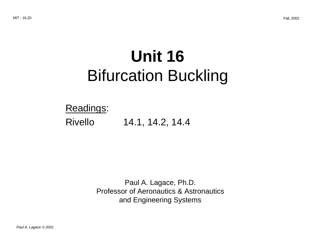# **Unit 16**  Bifurcation Buckling

Readings: Rivello 14.1, 14.2, 14.4

> Paul A. Lagace, Ph.D. Professor of Aeronautics & Astronautics and Engineering Systems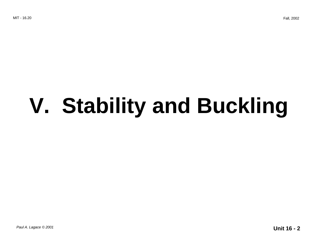# **V. Stability and Buckling**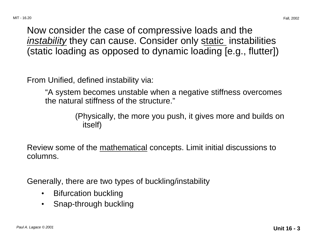Now consider the case of compressive loads and the instability they can cause. Consider only static instabilities (static loading as opposed to dynamic loading [e.g., flutter])

From Unified, defined instability via:

"A system becomes unstable when a negative stiffness overcomes the natural stiffness of the structure."

> (Physically, the more you push, it gives more and builds on itself)

Review some of the mathematical concepts. Limit initial discussions to columns.

Generally, there are two types of buckling/instability

- Bifurcation buckling
- Snap-through buckling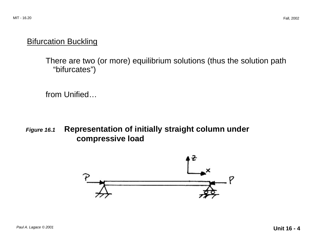#### **Bifurcation Buckling**

There are two (or more) equilibrium solutions (thus the solution path "bifurcates")

from Unified…

#### **Figure 16.1 Representation of initially straight column under compressive load**

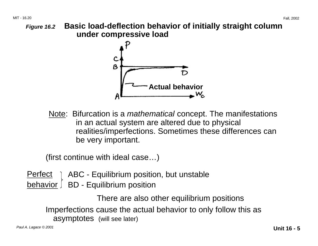#### **Figure 16.2 Basic load-deflection behavior of initially straight column under compressive load**



Note: Bifurcation is a *mathematical* concept. The manifestations in an actual system are altered due to physical realities/imperfections. Sometimes these differences can be very important.

(first continue with ideal case…)

 $Perfect$   $\overline{)}$  ABC - Equilibrium position, but unstable  $behavior$  BD - Equilibrium position

> There are also other equilibrium positions Imperfections cause the actual behavior to only follow this as asymptotes (will see later)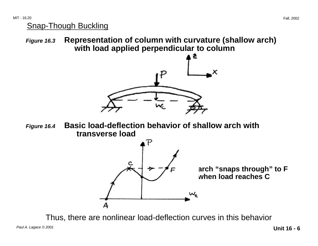#### Snap-Though Buckling

**Figure 16.3 Representation of column with curvature (shallow arch) with load applied perpendicular to column** 



**Figure 16.4 Basic load-deflection behavior of shallow arch with transverse load** 



Thus, there are nonlinear load-deflection curves in this behavior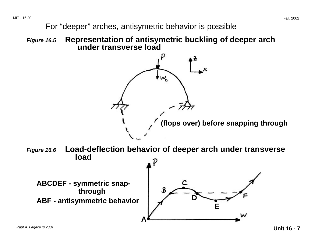MIT - 16.20 Fall, 2002

For "deeper" arches, antisymetric behavior is possible

**Figure 16.5 Representation of antisymetric buckling of deeper arch under transverse load** 

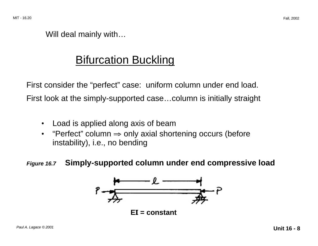Will deal mainly with…

## Bifurcation Buckling

First consider the "perfect" case: uniform column under end load. First look at the simply-supported case…column is initially straight

- Load is applied along axis of beam
- "Perfect" column  $\Rightarrow$  only axial shortening occurs (before instability), i.e., no bending

#### **Figure 16.7 Simply-supported column under end compressive load**

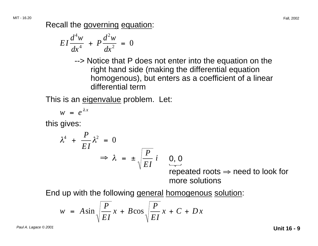Recall the governing equation:

$$
EI\frac{d^4w}{dx^4} + P\frac{d^2w}{dx^2} = 0
$$

--> Notice that P does not enter into the equation on the right hand side (making the differential equation homogenous), but enters as a coefficient of a linear differential term

This is an eigenvalue problem. Let:

$$
w = e^{\lambda x}
$$

this gives:

$$
\lambda^4 + \frac{P}{EI} \lambda^2 = 0
$$
  
\n
$$
\Rightarrow \lambda = \pm \sqrt{\frac{P}{EI}} i \quad \underset{\text{repe}}{\underbrace{0,0}}
$$

repeated roots  $\Rightarrow$  need to look for more solutions

End up with the following general homogenous solution:

$$
w = A \sin \sqrt{\frac{P}{EI}} x + B \cos \sqrt{\frac{P}{EI}} x + C + Dx
$$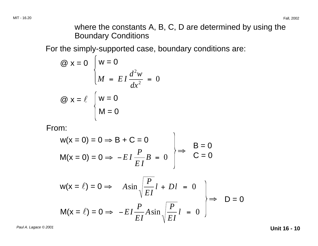where the constants A, B, C, D are determined by using the Boundary Conditions

For the simply-supported case, boundary conditions are:

$$
\begin{aligned}\n\textcircled{a} \quad \mathbf{x} &= 0 \quad \begin{cases}\n\mathbf{w} &= 0 \\
M &= E I \frac{d^2 w}{dx^2} = 0\n\end{cases} \\
\textcircled{a} \quad \mathbf{x} &= \ell \quad \begin{cases}\n\mathbf{w} &= 0 \\
M &= 0\n\end{cases}\n\end{aligned}
$$

From:

$$
w(x = 0) = 0 \Rightarrow B + C = 0
$$
  
\n
$$
M(x = 0) = 0 \Rightarrow -EI\frac{P}{EI}B = 0
$$
  
\n
$$
w(x = l) = 0 \Rightarrow A\sin\sqrt{\frac{P}{EI}}l + Dl = 0
$$
  
\n
$$
M(x = l) = 0 \Rightarrow -EI\frac{P}{EI}A\sin\sqrt{\frac{P}{EI}}l = 0
$$
  
\n
$$
D = 0
$$

Paul A. Lagace © 2001 **Unit 16 - 10**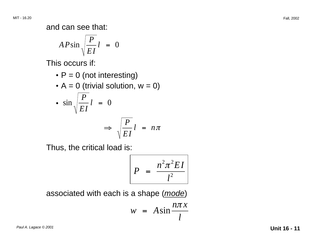and can see that:

$$
AP\sin\sqrt{\frac{P}{EI}}l = 0
$$

This occurs if:

•  $P = 0$  (not interesting)

• 
$$
A = 0
$$
 (trivial solution,  $w = 0$ )

• 
$$
\sin \sqrt{\frac{P}{EI}} l = 0
$$
  
\n $\Rightarrow \sqrt{\frac{P}{EI}} l = n\pi$ 

Thus, the critical load is:

$$
P = \frac{n^2 \pi^2 EI}{l^2}
$$

associated with each is a shape (mode)

$$
w = A \sin \frac{n \pi x}{l}
$$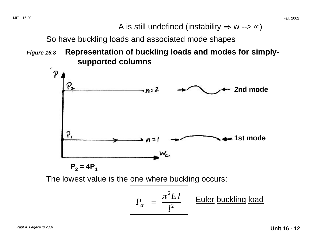A is still undefined (instability  $\Rightarrow$  w -->  $\infty$ )

So have buckling loads and associated mode shapes

**Figure 16.8 Representation of buckling loads and modes for simplysupported columns** 



The lowest value is the one where buckling occurs:

$$
P_{cr} = \frac{\pi^2 EI}{l^2}
$$
 Euler buckling load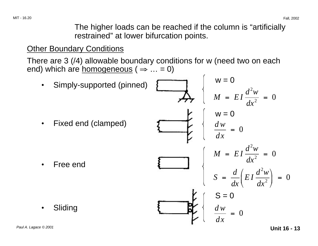The higher loads can be reached if the column is "artificially restrained" at lower bifurcation points.

#### **Other Boundary Conditions**

There are 3 (/4) allowable boundary conditions for w (need two on each end) which are <u>homogeneous</u> ( $\Rightarrow$  ... = 0)

 $w = 0$ • Simply-supported (pinned)  $M = EI \frac{d^2w}{dx^2} = 0$  $dx^2$  $w = 0$ Fixed end (clamped) = 0 *dx*   $M = EI \frac{d^2w}{dx^2} = 0$  $dx^2$ • Free end  $S = \frac{d}{dx} \left( EI \frac{d^2 w}{dx^2} \right) = 0$  $\mathsf{S}=\mathsf{0}$  . • Sliding *dw*  = 0 *dx*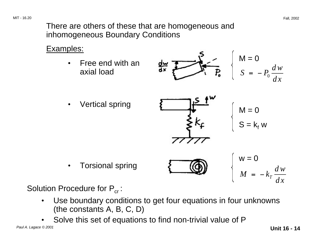There are others of these that are homogeneous and inhomogeneous Boundary Conditions

#### Examples:

Free end with an axial load



Vertical spring



$$
M = 0
$$

$$
S = k_f w
$$

• Torsional spring  $w = 0$  $M = -k_T \frac{dw}{dx}$ 

Solution Procedure for  $P_{cr}$ :

- • Use boundary conditions to get four equations in four unknowns (the constants A, B, C, D)
- Solve this set of equations to find non-trivial value of P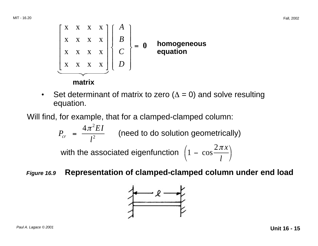$$
\begin{bmatrix} X & X & X & X \\ X & X & X & X \\ X & X & X & X \\ X & X & X & X \end{bmatrix} \begin{bmatrix} A \\ B \\ C \\ D \end{bmatrix} = 0 \quad \text{homogeneous} \\ \text{equation}
$$
\nmatrix

• Set determinant of matrix to zero ( $\Delta = 0$ ) and solve resulting equation.

Will find, for example, that for a clamped-clamped column:

$$
P_{cr} = \frac{4\pi^2 EI}{l^2}
$$
 (need to do solution geometrically)  
with the associated eigenfunction  $\left(1 - \cos \frac{2\pi x}{l}\right)$ 

**Figure 16.9 Representation of clamped-clamped column under end load** 

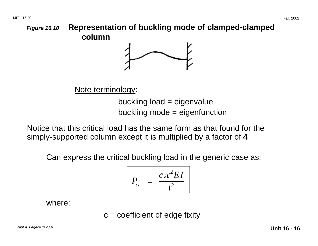#### **Figure 16.10 Representation of buckling mode of clamped-clamped column**



Note terminology:

buckling load = eigenvalue buckling mode = eigenfunction

Notice that this critical load has the same form as that found for the simply-supported column except it is multiplied by a factor of **4** 

Can express the critical buckling load in the generic case as:

$$
P_{cr} = \frac{c\pi^2 EI}{l^2}
$$

where:

 $c =$  coefficient of edge fixity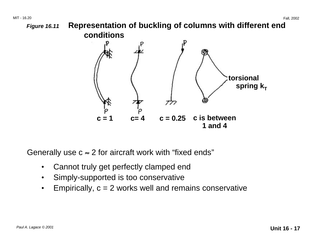

**1 and 4** 

Generally use  $c \approx 2$  for aircraft work with "fixed ends"

- Cannot truly get perfectly clamped end
- Simply-supported is too conservative
- Empirically,  $c = 2$  works well and remains conservative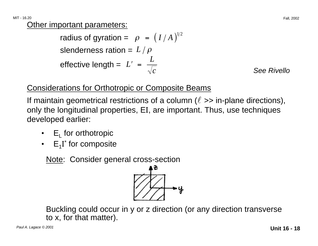MIT - 16.20 Fall, 2002

**Other important parameters:** 

radius of gyration =  $\rho = (I/A)^{1/2}$ slenderness ration =  $L/\rho$ effective length =  $L' = \frac{L}{\sqrt{c}}$ 

**See Rivello** 

#### Considerations for Orthotropic or Composite Beams

If maintain geometrical restrictions of a column ( $\ell \gg$  in-plane directions), only the longitudinal properties, EI, are important. Thus, use techniques developed earlier:

- $E_1$  for orthotropic
- $E_1I^*$  for composite

Note: Consider general cross-section



Buckling could occur in y or z direction (or any direction transverse to x, for that matter).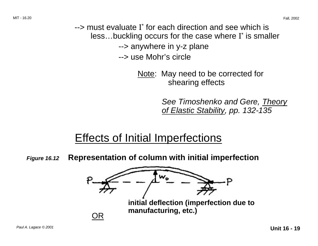--> must evaluate I\* for each direction and see which is less…buckling occurs for the case where I\* is smaller --> anywhere in y-z plane --> use Mohr's circle

> Note: May need to be corrected for shearing effects

> > See Timoshenko and Gere, Theory of Elastic Stability, pp. 132-135

## Effects of Initial Imperfections

**Figure 16.12 Representation of column with initial imperfection** 

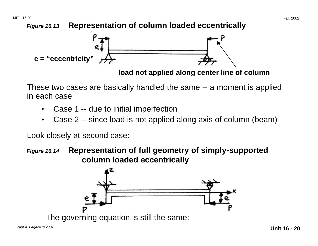

**load not applied along center line of column** 

These two cases are basically handled the same -- a moment is applied in each case

- Case 1 -- due to initial imperfection
- Case 2 -- since load is not applied along axis of column (beam)

Look closely at second case:

**Figure 16.14 Representation of full geometry of simply-supported column loaded eccentrically** 

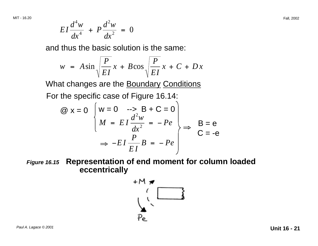$$
EI\frac{d^4w}{dx^4} + P\frac{d^2w}{dx^2} = 0
$$

and thus the basic solution is the same:

$$
w = A \sin \sqrt{\frac{P}{EI}} x + B \cos \sqrt{\frac{P}{EI}} x + C + Dx
$$

What changes are the **Boundary Conditions** 

For the specific case of Figure 16.14:

$$
\begin{aligned}\n\textcircled{a} \times &= 0 \quad \begin{cases} \n\text{w} = 0 & \text{---> B + C = 0} \\
M &= EI \frac{d^2 w}{dx^2} = -Pe \\
\Rightarrow -EI \frac{P}{EI} B = -Pe\n\end{cases} \Rightarrow \quad B = e \\
\textcircled{c} = -e\n\end{aligned}
$$

**Figure 16.15 Representation of end moment for column loaded eccentrically** 

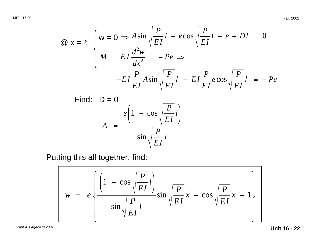$$
\begin{aligned}\n\textcircled{a} \mathbf{x} &= \ell \quad \left( \mathbf{w} = 0 \Rightarrow A \sin \sqrt{\frac{P}{EI}} l + e \cos \sqrt{\frac{P}{EI}} l - e + D l = 0 \\
M &= EI \frac{d^2 w}{dx^2} = -Pe \Rightarrow \\
-EI \frac{P}{EI} A \sin \sqrt{\frac{P}{EI}} l - EI \frac{P}{EI} e \cos \sqrt{\frac{P}{EI}} l = -Pe\n\end{aligned}\n\right]
$$
\nFind:  $D = 0$ \n
$$
\rho = \frac{e \left( 1 - \cos \sqrt{\frac{P}{EI}} l \right)}{1 - \left( \frac{P}{EI}} \right)}
$$

*EI* 

*l* 

Putting this all together, find:

$$
w = e \left\{ \frac{\left(1 - \cos \sqrt{\frac{P}{EI}} l\right)}{\sin \sqrt{\frac{P}{EI}} l} \sin \sqrt{\frac{P}{EI}} x + \cos \sqrt{\frac{P}{EI}} x - 1 \right\}
$$

*EI* 

 $\sin \left| \frac{P}{P}\right|$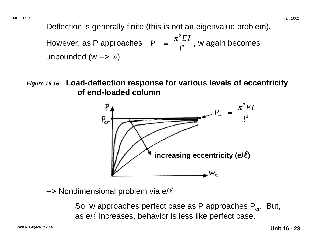Deflection is generally finite (this is not an eigenvalue problem).

However, as P approaches  $P_{cr} = \frac{\pi^2 EI}{l^2}$ , w again becomes unbounded (w -->  $\infty$ )

**Figure 16.16 Load-deflection response for various levels of eccentricity of end-loaded column** 



 $\rightarrow$  Nondimensional problem via e/ $\ell$ 

So, w approaches perfect case as P approaches  $P_{cr}$ . But, as  $e/\ell$  increases, behavior is less like perfect case.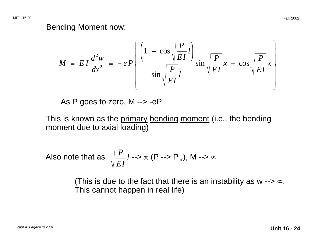#### Bending Moment now:

$$
M = EI \frac{d^2 w}{dx^2} = -eP \left\{ \frac{\left(1 - \cos \sqrt{\frac{P}{EI}} l\right)}{\sin \sqrt{\frac{P}{EI}} l} \sin \sqrt{\frac{P}{EI}} x + \cos \sqrt{\frac{P}{EI}} x \right\}
$$

As P goes to zero, M --> -eP

This is known as the primary bending moment (i.e., the bending moment due to axial loading)

Also note that as 
$$
\sqrt{\frac{P}{EI}}
$$
  $l \rightarrow \pi$  (P  $\rightarrow$  P<sub>cr</sub>), M  $\rightarrow \infty$ 

(This is due to the fact that there is an instability as w  $\rightarrow \infty$ . This cannot happen in real life)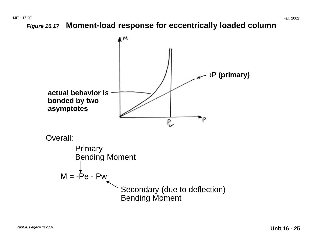**Figure 16.17 Moment-load response for eccentrically loaded column**